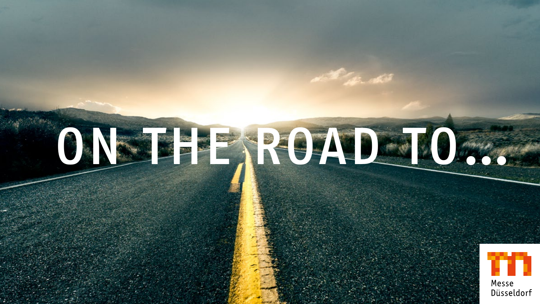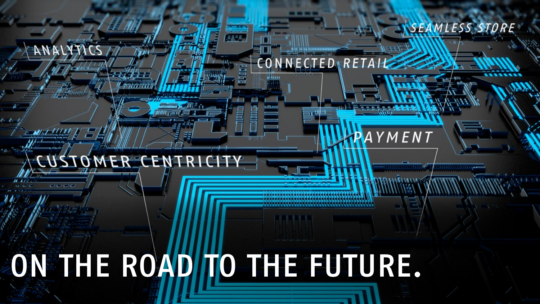# ON THE ROAD TO THE FUTURE.

### CUSTOMER CENTRI

**SEFF** 

CONNECTED RETA

*SEAMLESS STORE* 

YMENT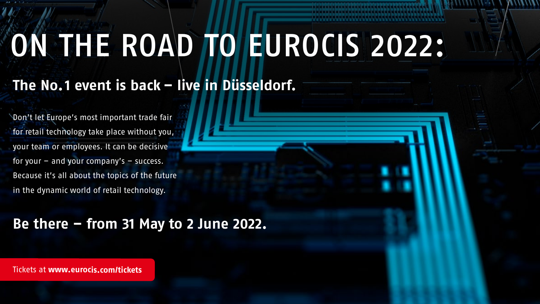# ON THE ROAD TO EUROCIS 2022:

#### **The No.1 event is back – live in Düsseldorf.**

Don't let Europe's most important trade fair for retail technology take place without you, your team or employees. It can be decisive for your – and your company's – success. Because it's all about the topics of the future in the dynamic world of retail technology.

#### **Be there – from 31 May to 2 June 2022.**

Tickets at **[www.eurocis.com/tickets](https://www.eurocis.com/tickets)**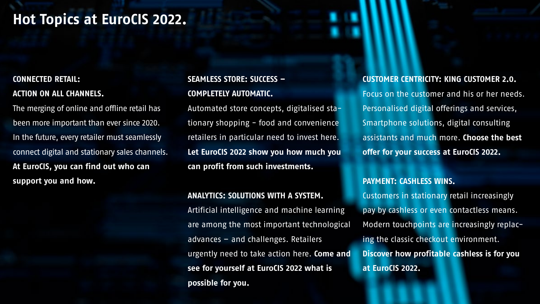#### **Hot Topics at EuroCIS 2022.**

#### **CONNECTED RETAIL:**

#### **ACTION ON ALL CHANNELS.**

The merging of online and offline retail has been more important than ever since 2020. In the future, every retailer must seamlessly connect digital and stationary sales channels. **At EuroCIS, you can find out who can support you and how.**

#### **SEAMLESS STORE: SUCCESS – COMPLETELY AUTOMATIC.**

Automated store concepts, digitalised stationary shopping - food and convenience retailers in particular need to invest here. **Let EuroCIS 2022 show you how much you can profit from such investments.**

#### **ANALYTICS: SOLUTIONS WITH A SYSTEM.**

Artificial intelligence and machine learning are among the most important technological advances – and challenges. Retailers urgently need to take action here. **Come and see for yourself at EuroCIS 2022 what is possible for you.**

#### **CUSTOMER CENTRICITY: KING CUSTOMER 2.0.**  Focus on the customer and his or her needs. Personalised digital offerings and services, Smartphone solutions, digital consulting assistants and much more. **Choose the best offer for your success at EuroCIS 2022.**

#### **PAYMENT: CASHLESS WINS.**

Customers in stationary retail increasingly pay by cashless or even contactless means. Modern touchpoints are increasingly replacing the classic checkout environment. **Discover how profitable cashless is for you at EuroCIS 2022.**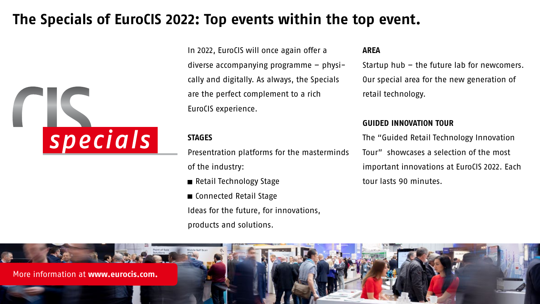#### **The Specials of EuroCIS 2022: Top events within the top event.**

![](_page_4_Picture_1.jpeg)

In 2022, EuroCIS will once again offer a diverse accompanying programme – physically and digitally. As always, the Specials are the perfect complement to a rich EuroCIS experience.

#### **STAGES**

Presentration platforms for the masterminds of the industry:

Retail Technology Stage

■ Connected Retail Stage Ideas for the future, for innovations, products and solutions.

#### **AREA**

Startup hub – the future lab for newcomers. Our special area for the new generation of retail technology.

#### **GUIDED INNOVATION TOUR**

The "Guided Retail Technology Innovation Tour" showcases a selection of the most important innovations at EuroCIS 2022. Each tour lasts 90 minutes.

![](_page_4_Picture_11.jpeg)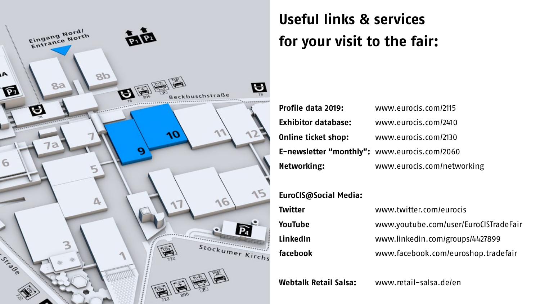![](_page_5_Picture_0.jpeg)

#### **Useful links & services for your visit to the fair:**

**Profile data 2019:** [www.eurocis.com/2115](https://www.eurocis.com/2115) **Exhibitor database:** [www.eurocis.com/2410](https://www.eurocis.com/2410) **Online ticket shop:** [www.eurocis.com/2130](https://www.eurocis.com/2130) **E-newsletter "monthly":** [www.eurocis.com/2060](https://www.eurocis.com/2060) **Networking:** <www.eurocis.com/networking>

#### **EuroCIS@Social Media:**

| Twitter  | www.twitter.com/eurocis               |
|----------|---------------------------------------|
| YouTube  | www.youtube.com/user/EuroCISTradeFair |
| LinkedIn | www.linkedin.com/groups/4427899       |
| facebook | www.facebook.com/euroshop.tradefair   |

**Webtalk Retail Salsa:** www[.retail-salsa.de/en](https://www.retail-salsa.de/en/)